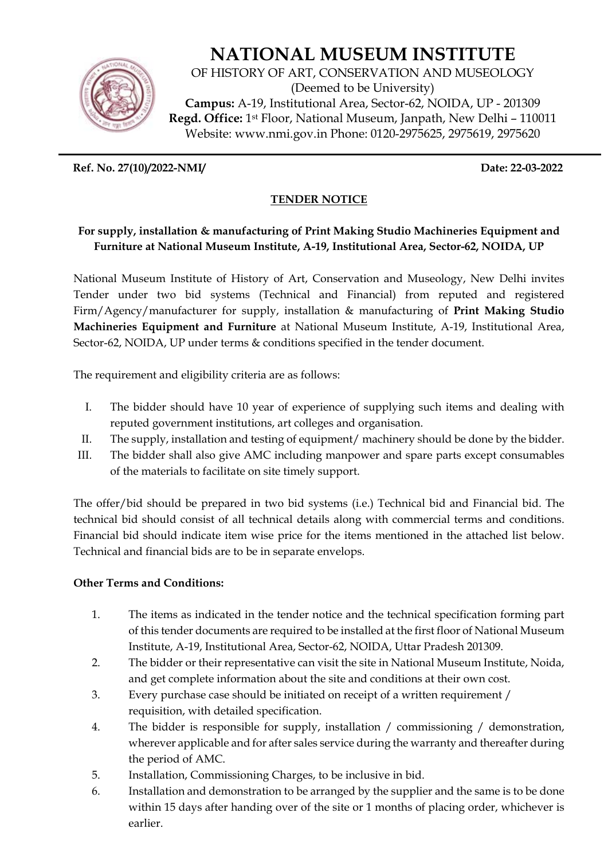

# **NATIONAL MUSEUM INSTITUTE**

OF HISTORY OF ART, CONSERVATION AND MUSEOLOGY (Deemed to be University) **Campus:** A-19, Institutional Area, Sector-62, NOIDA, UP - 201309 **Regd. Office:** 1st Floor, National Museum, Janpath, New Delhi – 110011 Website: www.nmi.gov.in Phone: 0120-2975625, 2975619, 2975620

**Ref. No. 27(10)/2022-NMI/ Date: 22-03-2022** 

# **TENDER NOTICE**

## **For supply, installation & manufacturing of Print Making Studio Machineries Equipment and Furniture at National Museum Institute, A-19, Institutional Area, Sector-62, NOIDA, UP**

National Museum Institute of History of Art, Conservation and Museology, New Delhi invites Tender under two bid systems (Technical and Financial) from reputed and registered Firm/Agency/manufacturer for supply, installation & manufacturing of **Print Making Studio Machineries Equipment and Furniture** at National Museum Institute, A-19, Institutional Area, Sector-62, NOIDA, UP under terms & conditions specified in the tender document.

The requirement and eligibility criteria are as follows:

- I. The bidder should have 10 year of experience of supplying such items and dealing with reputed government institutions, art colleges and organisation.
- II. The supply, installation and testing of equipment/ machinery should be done by the bidder.
- III. The bidder shall also give AMC including manpower and spare parts except consumables of the materials to facilitate on site timely support.

The offer/bid should be prepared in two bid systems (i.e.) Technical bid and Financial bid. The technical bid should consist of all technical details along with commercial terms and conditions. Financial bid should indicate item wise price for the items mentioned in the attached list below. Technical and financial bids are to be in separate envelops.

## **Other Terms and Conditions:**

- 1. The items as indicated in the tender notice and the technical specification forming part of this tender documents are required to be installed at the first floor of National Museum Institute, A-19, Institutional Area, Sector-62, NOIDA, Uttar Pradesh 201309.
- 2. The bidder or their representative can visit the site in National Museum Institute, Noida, and get complete information about the site and conditions at their own cost.
- 3. Every purchase case should be initiated on receipt of a written requirement / requisition, with detailed specification.
- 4. The bidder is responsible for supply, installation / commissioning / demonstration, wherever applicable and for after sales service during the warranty and thereafter during the period of AMC.
- 5. Installation, Commissioning Charges, to be inclusive in bid.
- 6. Installation and demonstration to be arranged by the supplier and the same is to be done within 15 days after handing over of the site or 1 months of placing order, whichever is earlier.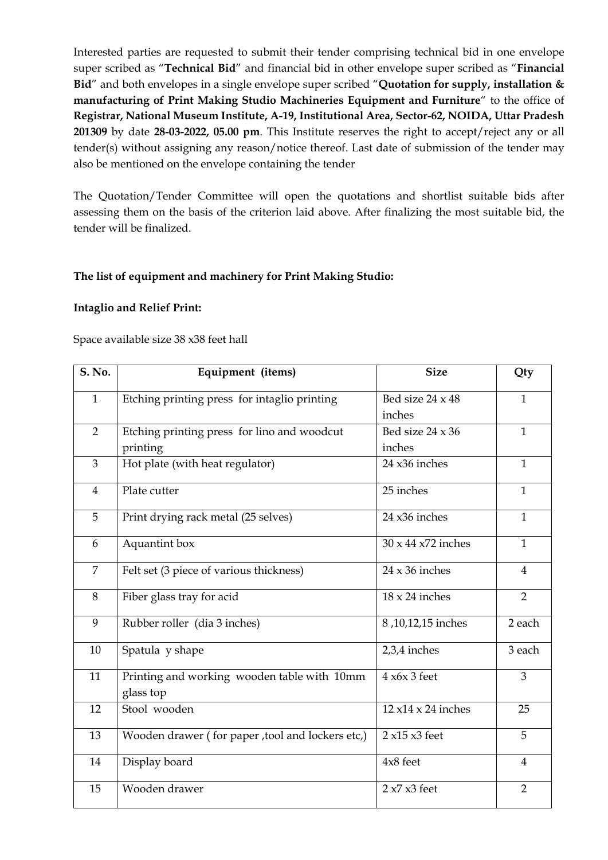Interested parties are requested to submit their tender comprising technical bid in one envelope super scribed as "**Technical Bid**" and financial bid in other envelope super scribed as "**Financial Bid**" and both envelopes in a single envelope super scribed "**Quotation for supply, installation & manufacturing of Print Making Studio Machineries Equipment and Furniture**" to the office of **Registrar, National Museum Institute, A-19, Institutional Area, Sector-62, NOIDA, Uttar Pradesh 201309** by date **28-03-2022, 05.00 pm**. This Institute reserves the right to accept/reject any or all tender(s) without assigning any reason/notice thereof. Last date of submission of the tender may also be mentioned on the envelope containing the tender

The Quotation/Tender Committee will open the quotations and shortlist suitable bids after assessing them on the basis of the criterion laid above. After finalizing the most suitable bid, the tender will be finalized.

## **The list of equipment and machinery for Print Making Studio:**

#### **Intaglio and Relief Print:**

#### Space available size 38 x38 feet hall

| S. No.         | Equipment (items)                                        | <b>Size</b>                     | Qty            |
|----------------|----------------------------------------------------------|---------------------------------|----------------|
| $\mathbf{1}$   | Etching printing press for intaglio printing             | Bed size 24 x 48                | $\mathbf{1}$   |
|                |                                                          | inches                          |                |
| $\overline{2}$ | Etching printing press for lino and woodcut              | Bed size 24 x 36                | $\mathbf{1}$   |
|                | printing                                                 | inches                          |                |
| 3              | Hot plate (with heat regulator)                          | 24 x36 inches                   | $\mathbf{1}$   |
| $\overline{4}$ | Plate cutter                                             | 25 inches                       | $\mathbf{1}$   |
| 5              | Print drying rack metal (25 selves)                      | 24 x36 inches                   | $\mathbf{1}$   |
| 6              | Aquantint box                                            | $30 \times 44 \times 72$ inches | $\mathbf{1}$   |
| $\overline{7}$ | Felt set (3 piece of various thickness)                  | $24 \times 36$ inches           | 4              |
| $\, 8$         | Fiber glass tray for acid                                | $18 \times 24$ inches           | $\overline{2}$ |
| 9              | Rubber roller (dia 3 inches)                             | 8,10,12,15 inches               | 2 each         |
| 10             | Spatula y shape                                          | 2,3,4 inches                    | 3 each         |
| 11             | Printing and working wooden table with 10mm<br>glass top | $4 \times 6 \times 3$ feet      | 3              |
| 12             | Stool wooden                                             | $12 \times 14 \times 24$ inches | 25             |
| 13             | Wooden drawer (for paper, tool and lockers etc,)         | $2x15x3$ feet                   | 5              |
| 14             | Display board                                            | 4x8 feet                        | 4              |
| 15             | Wooden drawer                                            | $2 x7 x3$ feet                  | $\overline{2}$ |